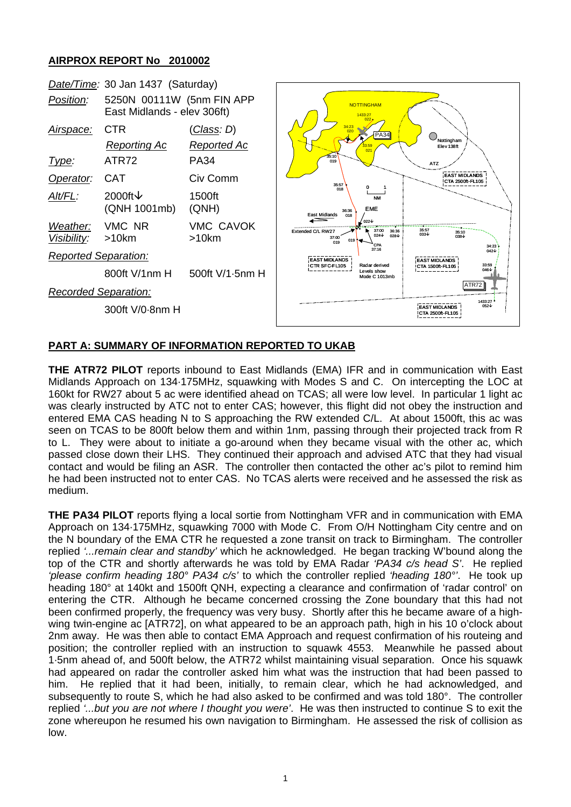## **AIRPROX REPORT No 2010002**



## **PART A: SUMMARY OF INFORMATION REPORTED TO UKAB**

**THE ATR72 PILOT** reports inbound to East Midlands (EMA) IFR and in communication with East Midlands Approach on 134·175MHz, squawking with Modes S and C. On intercepting the LOC at 160kt for RW27 about 5 ac were identified ahead on TCAS; all were low level. In particular 1 light ac was clearly instructed by ATC not to enter CAS; however, this flight did not obey the instruction and entered EMA CAS heading N to S approaching the RW extended C/L. At about 1500ft, this ac was seen on TCAS to be 800ft below them and within 1nm, passing through their projected track from R to L. They were about to initiate a go-around when they became visual with the other ac, which passed close down their LHS. They continued their approach and advised ATC that they had visual contact and would be filing an ASR. The controller then contacted the other ac's pilot to remind him he had been instructed not to enter CAS. No TCAS alerts were received and he assessed the risk as medium.

**THE PA34 PILOT** reports flying a local sortie from Nottingham VFR and in communication with EMA Approach on 134·175MHz, squawking 7000 with Mode C. From O/H Nottingham City centre and on the N boundary of the EMA CTR he requested a zone transit on track to Birmingham. The controller replied *'...remain clear and standby'* which he acknowledged. He began tracking W'bound along the top of the CTR and shortly afterwards he was told by EMA Radar *'PA34 c/s head S'*. He replied *'please confirm heading 180° PA34 c/s'* to which the controller replied *'heading 180°'*. He took up heading 180° at 140kt and 1500ft QNH, expecting a clearance and confirmation of 'radar control' on entering the CTR. Although he became concerned crossing the Zone boundary that this had not been confirmed properly, the frequency was very busy. Shortly after this he became aware of a highwing twin-engine ac [ATR72], on what appeared to be an approach path, high in his 10 o'clock about 2nm away. He was then able to contact EMA Approach and request confirmation of his routeing and position; the controller replied with an instruction to squawk 4553. Meanwhile he passed about 1·5nm ahead of, and 500ft below, the ATR72 whilst maintaining visual separation. Once his squawk had appeared on radar the controller asked him what was the instruction that had been passed to him. He replied that it had been, initially, to remain clear, which he had acknowledged, and subsequently to route S, which he had also asked to be confirmed and was told 180°. The controller replied *'...but you are not where I thought you were'*. He was then instructed to continue S to exit the zone whereupon he resumed his own navigation to Birmingham. He assessed the risk of collision as low.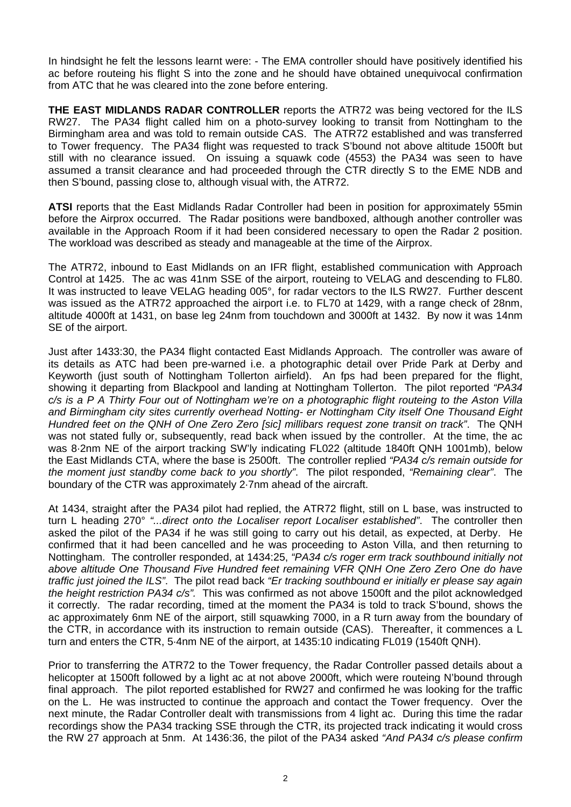In hindsight he felt the lessons learnt were: - The EMA controller should have positively identified his ac before routeing his flight S into the zone and he should have obtained unequivocal confirmation from ATC that he was cleared into the zone before entering.

**THE EAST MIDLANDS RADAR CONTROLLER** reports the ATR72 was being vectored for the ILS RW27. The PA34 flight called him on a photo-survey looking to transit from Nottingham to the Birmingham area and was told to remain outside CAS. The ATR72 established and was transferred to Tower frequency. The PA34 flight was requested to track S'bound not above altitude 1500ft but still with no clearance issued. On issuing a squawk code (4553) the PA34 was seen to have assumed a transit clearance and had proceeded through the CTR directly S to the EME NDB and then S'bound, passing close to, although visual with, the ATR72.

**ATSI** reports that the East Midlands Radar Controller had been in position for approximately 55min before the Airprox occurred. The Radar positions were bandboxed, although another controller was available in the Approach Room if it had been considered necessary to open the Radar 2 position. The workload was described as steady and manageable at the time of the Airprox.

The ATR72, inbound to East Midlands on an IFR flight, established communication with Approach Control at 1425. The ac was 41nm SSE of the airport, routeing to VELAG and descending to FL80. It was instructed to leave VELAG heading 005°, for radar vectors to the ILS RW27. Further descent was issued as the ATR72 approached the airport i.e. to FL70 at 1429, with a range check of 28nm, altitude 4000ft at 1431, on base leg 24nm from touchdown and 3000ft at 1432. By now it was 14nm SE of the airport.

Just after 1433:30, the PA34 flight contacted East Midlands Approach. The controller was aware of its details as ATC had been pre-warned i.e. a photographic detail over Pride Park at Derby and Keyworth (just south of Nottingham Tollerton airfield). An fps had been prepared for the flight, showing it departing from Blackpool and landing at Nottingham Tollerton. The pilot reported *"PA34 c/s is a P A Thirty Four out of Nottingham we're on a photographic flight routeing to the Aston Villa and Birmingham city sites currently overhead Notting- er Nottingham City itself One Thousand Eight Hundred feet on the QNH of One Zero Zero [sic] millibars request zone transit on track"*. The QNH was not stated fully or, subsequently, read back when issued by the controller. At the time, the ac was 8·2nm NE of the airport tracking SW'ly indicating FL022 (altitude 1840ft QNH 1001mb), below the East Midlands CTA, where the base is 2500ft. The controller replied *"PA34 c/s remain outside for the moment just standby come back to you shortly"*. The pilot responded, *"Remaining clear"*. The boundary of the CTR was approximately 2·7nm ahead of the aircraft.

At 1434, straight after the PA34 pilot had replied, the ATR72 flight, still on L base, was instructed to turn L heading 270° *"...direct onto the Localiser report Localiser established"*. The controller then asked the pilot of the PA34 if he was still going to carry out his detail, as expected, at Derby. He confirmed that it had been cancelled and he was proceeding to Aston Villa, and then returning to Nottingham. The controller responded, at 1434:25, *"PA34 c/s roger erm track southbound initially not above altitude One Thousand Five Hundred feet remaining VFR QNH One Zero Zero One do have traffic just joined the ILS"*. The pilot read back *"Er tracking southbound er initially er please say again the height restriction PA34 c/s".* This was confirmed as not above 1500ft and the pilot acknowledged it correctly. The radar recording, timed at the moment the PA34 is told to track S'bound, shows the ac approximately 6nm NE of the airport, still squawking 7000, in a R turn away from the boundary of the CTR, in accordance with its instruction to remain outside (CAS). Thereafter, it commences a L turn and enters the CTR, 5·4nm NE of the airport, at 1435:10 indicating FL019 (1540ft QNH).

Prior to transferring the ATR72 to the Tower frequency, the Radar Controller passed details about a helicopter at 1500ft followed by a light ac at not above 2000ft, which were routeing N'bound through final approach. The pilot reported established for RW27 and confirmed he was looking for the traffic on the L. He was instructed to continue the approach and contact the Tower frequency. Over the next minute, the Radar Controller dealt with transmissions from 4 light ac. During this time the radar recordings show the PA34 tracking SSE through the CTR, its projected track indicating it would cross the RW 27 approach at 5nm. At 1436:36, the pilot of the PA34 asked *"And PA34 c/s please confirm*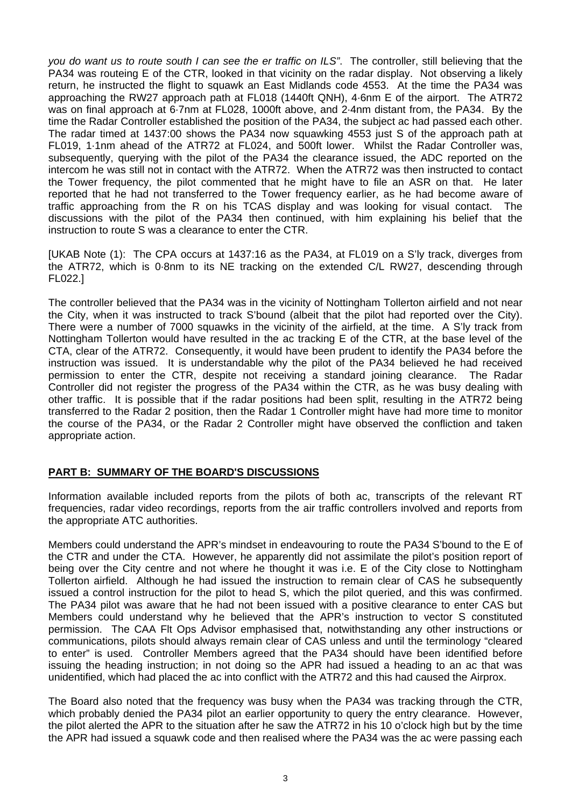*you do want us to route south I can see the er traffic on ILS"*. The controller, still believing that the PA34 was routeing E of the CTR, looked in that vicinity on the radar display. Not observing a likely return, he instructed the flight to squawk an East Midlands code 4553. At the time the PA34 was approaching the RW27 approach path at FL018 (1440ft QNH), 4·6nm E of the airport. The ATR72 was on final approach at 6·7nm at FL028, 1000ft above, and 2·4nm distant from, the PA34. By the time the Radar Controller established the position of the PA34, the subject ac had passed each other. The radar timed at 1437:00 shows the PA34 now squawking 4553 just S of the approach path at FL019, 1·1nm ahead of the ATR72 at FL024, and 500ft lower. Whilst the Radar Controller was, subsequently, querying with the pilot of the PA34 the clearance issued, the ADC reported on the intercom he was still not in contact with the ATR72. When the ATR72 was then instructed to contact the Tower frequency, the pilot commented that he might have to file an ASR on that. He later reported that he had not transferred to the Tower frequency earlier, as he had become aware of traffic approaching from the R on his TCAS display and was looking for visual contact. The discussions with the pilot of the PA34 then continued, with him explaining his belief that the instruction to route S was a clearance to enter the CTR.

[UKAB Note (1): The CPA occurs at 1437:16 as the PA34, at FL019 on a S'ly track, diverges from the ATR72, which is 0·8nm to its NE tracking on the extended C/L RW27, descending through FL022.]

The controller believed that the PA34 was in the vicinity of Nottingham Tollerton airfield and not near the City, when it was instructed to track S'bound (albeit that the pilot had reported over the City). There were a number of 7000 squawks in the vicinity of the airfield, at the time. A S'ly track from Nottingham Tollerton would have resulted in the ac tracking E of the CTR, at the base level of the CTA, clear of the ATR72. Consequently, it would have been prudent to identify the PA34 before the instruction was issued. It is understandable why the pilot of the PA34 believed he had received permission to enter the CTR, despite not receiving a standard joining clearance. The Radar Controller did not register the progress of the PA34 within the CTR, as he was busy dealing with other traffic. It is possible that if the radar positions had been split, resulting in the ATR72 being transferred to the Radar 2 position, then the Radar 1 Controller might have had more time to monitor the course of the PA34, or the Radar 2 Controller might have observed the confliction and taken appropriate action.

## **PART B: SUMMARY OF THE BOARD'S DISCUSSIONS**

Information available included reports from the pilots of both ac, transcripts of the relevant RT frequencies, radar video recordings, reports from the air traffic controllers involved and reports from the appropriate ATC authorities.

Members could understand the APR's mindset in endeavouring to route the PA34 S'bound to the E of the CTR and under the CTA. However, he apparently did not assimilate the pilot's position report of being over the City centre and not where he thought it was i.e. E of the City close to Nottingham Tollerton airfield. Although he had issued the instruction to remain clear of CAS he subsequently issued a control instruction for the pilot to head S, which the pilot queried, and this was confirmed. The PA34 pilot was aware that he had not been issued with a positive clearance to enter CAS but Members could understand why he believed that the APR's instruction to vector S constituted permission. The CAA Flt Ops Advisor emphasised that, notwithstanding any other instructions or communications, pilots should always remain clear of CAS unless and until the terminology "cleared to enter" is used. Controller Members agreed that the PA34 should have been identified before issuing the heading instruction; in not doing so the APR had issued a heading to an ac that was unidentified, which had placed the ac into conflict with the ATR72 and this had caused the Airprox.

The Board also noted that the frequency was busy when the PA34 was tracking through the CTR, which probably denied the PA34 pilot an earlier opportunity to query the entry clearance. However, the pilot alerted the APR to the situation after he saw the ATR72 in his 10 o'clock high but by the time the APR had issued a squawk code and then realised where the PA34 was the ac were passing each